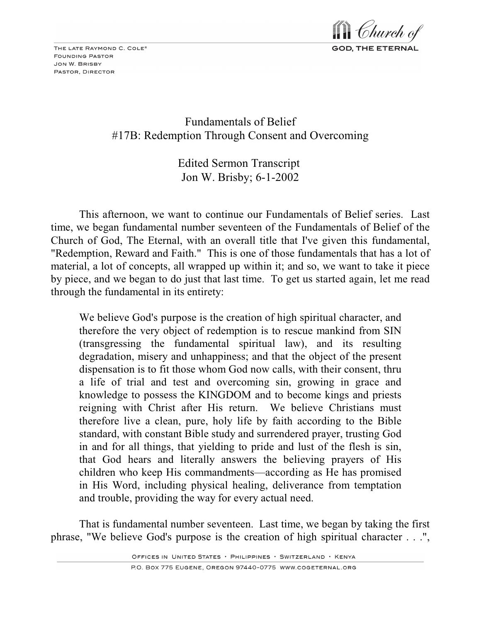

THE LATE RAYMOND C. COLE® **FOUNDING PASTOR** JON W. BRISBY PASTOR, DIRECTOR

> Fundamentals of Belief #17B: Redemption Through Consent and Overcoming

> > Edited Sermon Transcript Jon W. Brisby; 6-1-2002

This afternoon, we want to continue our Fundamentals of Belief series. Last time, we began fundamental number seventeen of the Fundamentals of Belief of the Church of God, The Eternal, with an overall title that I've given this fundamental, "Redemption, Reward and Faith." This is one of those fundamentals that has a lot of material, a lot of concepts, all wrapped up within it; and so, we want to take it piece by piece, and we began to do just that last time. To get us started again, let me read through the fundamental in its entirety:

We believe God's purpose is the creation of high spiritual character, and therefore the very object of redemption is to rescue mankind from SIN (transgressing the fundamental spiritual law), and its resulting degradation, misery and unhappiness; and that the object of the present dispensation is to fit those whom God now calls, with their consent, thru a life of trial and test and overcoming sin, growing in grace and knowledge to possess the KINGDOM and to become kings and priests reigning with Christ after His return. We believe Christians must therefore live a clean, pure, holy life by faith according to the Bible standard, with constant Bible study and surrendered prayer, trusting God in and for all things, that yielding to pride and lust of the flesh is sin, that God hears and literally answers the believing prayers of His children who keep His commandments—according as He has promised in His Word, including physical healing, deliverance from temptation and trouble, providing the way for every actual need.

That is fundamental number seventeen. Last time, we began by taking the first phrase, "We believe God's purpose is the creation of high spiritual character . . .",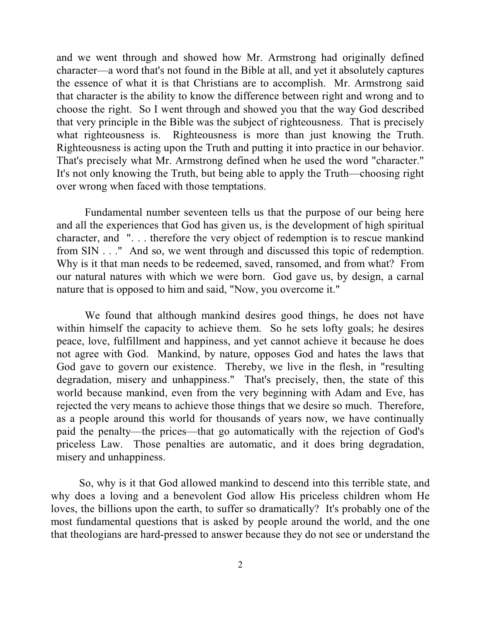and we went through and showed how Mr. Armstrong had originally defined character—a word that's not found in the Bible at all, and yet it absolutely captures the essence of what it is that Christians are to accomplish. Mr. Armstrong said that character is the ability to know the difference between right and wrong and to choose the right. So I went through and showed you that the way God described that very principle in the Bible was the subject of righteousness. That is precisely what righteousness is. Righteousness is more than just knowing the Truth. Righteousness is acting upon the Truth and putting it into practice in our behavior. That's precisely what Mr. Armstrong defined when he used the word "character." It's not only knowing the Truth, but being able to apply the Truth—choosing right over wrong when faced with those temptations.

Fundamental number seventeen tells us that the purpose of our being here and all the experiences that God has given us, is the development of high spiritual character, and ". . . therefore the very object of redemption is to rescue mankind from SIN . . ." And so, we went through and discussed this topic of redemption. Why is it that man needs to be redeemed, saved, ransomed, and from what? From our natural natures with which we were born. God gave us, by design, a carnal nature that is opposed to him and said, "Now, you overcome it."

We found that although mankind desires good things, he does not have within himself the capacity to achieve them. So he sets lofty goals; he desires peace, love, fulfillment and happiness, and yet cannot achieve it because he does not agree with God. Mankind, by nature, opposes God and hates the laws that God gave to govern our existence. Thereby, we live in the flesh, in "resulting degradation, misery and unhappiness." That's precisely, then, the state of this world because mankind, even from the very beginning with Adam and Eve, has rejected the very means to achieve those things that we desire so much. Therefore, as a people around this world for thousands of years now, we have continually paid the penalty—the prices—that go automatically with the rejection of God's priceless Law. Those penalties are automatic, and it does bring degradation, misery and unhappiness.

So, why is it that God allowed mankind to descend into this terrible state, and why does a loving and a benevolent God allow His priceless children whom He loves, the billions upon the earth, to suffer so dramatically? It's probably one of the most fundamental questions that is asked by people around the world, and the one that theologians are hard-pressed to answer because they do not see or understand the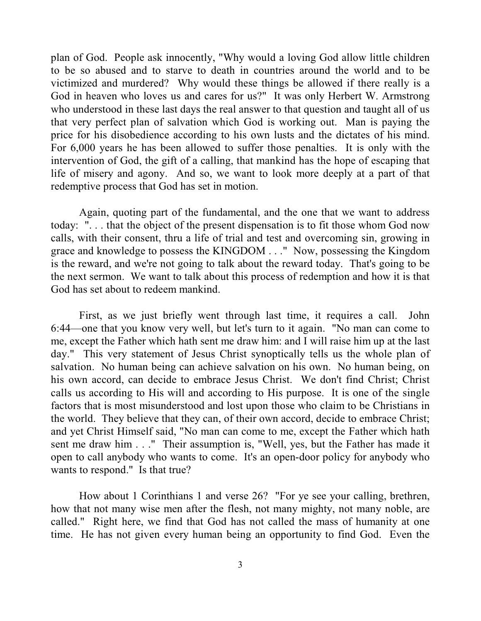plan of God. People ask innocently, "Why would a loving God allow little children to be so abused and to starve to death in countries around the world and to be victimized and murdered? Why would these things be allowed if there really is a God in heaven who loves us and cares for us?" It was only Herbert W. Armstrong who understood in these last days the real answer to that question and taught all of us that very perfect plan of salvation which God is working out. Man is paying the price for his disobedience according to his own lusts and the dictates of his mind. For 6,000 years he has been allowed to suffer those penalties. It is only with the intervention of God, the gift of a calling, that mankind has the hope of escaping that life of misery and agony. And so, we want to look more deeply at a part of that redemptive process that God has set in motion.

Again, quoting part of the fundamental, and the one that we want to address today: ". . . that the object of the present dispensation is to fit those whom God now calls, with their consent, thru a life of trial and test and overcoming sin, growing in grace and knowledge to possess the KINGDOM . . ." Now, possessing the Kingdom is the reward, and we're not going to talk about the reward today. That's going to be the next sermon. We want to talk about this process of redemption and how it is that God has set about to redeem mankind.

First, as we just briefly went through last time, it requires a call. John 6:44—one that you know very well, but let's turn to it again. "No man can come to me, except the Father which hath sent me draw him: and I will raise him up at the last day." This very statement of Jesus Christ synoptically tells us the whole plan of salvation. No human being can achieve salvation on his own. No human being, on his own accord, can decide to embrace Jesus Christ. We don't find Christ; Christ calls us according to His will and according to His purpose. It is one of the single factors that is most misunderstood and lost upon those who claim to be Christians in the world. They believe that they can, of their own accord, decide to embrace Christ; and yet Christ Himself said, "No man can come to me, except the Father which hath sent me draw him . . ." Their assumption is, "Well, yes, but the Father has made it open to call anybody who wants to come. It's an open-door policy for anybody who wants to respond." Is that true?

How about 1 Corinthians 1 and verse 26? "For ye see your calling, brethren, how that not many wise men after the flesh, not many mighty, not many noble, are called." Right here, we find that God has not called the mass of humanity at one time. He has not given every human being an opportunity to find God. Even the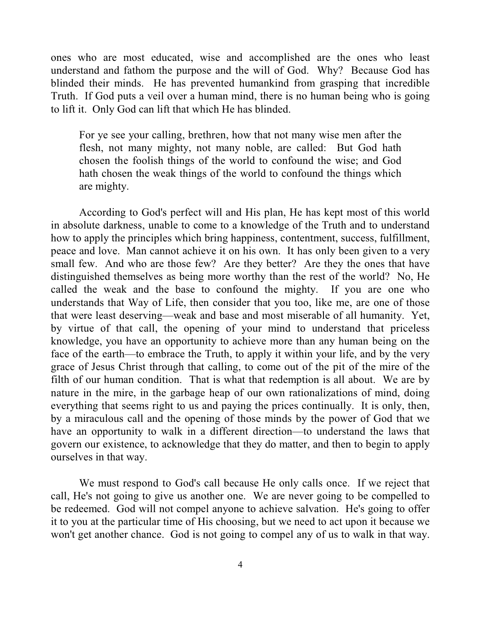ones who are most educated, wise and accomplished are the ones who least understand and fathom the purpose and the will of God. Why? Because God has blinded their minds. He has prevented humankind from grasping that incredible Truth. If God puts a veil over a human mind, there is no human being who is going to lift it. Only God can lift that which He has blinded.

For ye see your calling, brethren, how that not many wise men after the flesh, not many mighty, not many noble, are called: But God hath chosen the foolish things of the world to confound the wise; and God hath chosen the weak things of the world to confound the things which are mighty.

According to God's perfect will and His plan, He has kept most of this world in absolute darkness, unable to come to a knowledge of the Truth and to understand how to apply the principles which bring happiness, contentment, success, fulfillment, peace and love. Man cannot achieve it on his own. It has only been given to a very small few. And who are those few? Are they better? Are they the ones that have distinguished themselves as being more worthy than the rest of the world? No, He called the weak and the base to confound the mighty. If you are one who understands that Way of Life, then consider that you too, like me, are one of those that were least deserving—weak and base and most miserable of all humanity. Yet, by virtue of that call, the opening of your mind to understand that priceless knowledge, you have an opportunity to achieve more than any human being on the face of the earth—to embrace the Truth, to apply it within your life, and by the very grace of Jesus Christ through that calling, to come out of the pit of the mire of the filth of our human condition. That is what that redemption is all about. We are by nature in the mire, in the garbage heap of our own rationalizations of mind, doing everything that seems right to us and paying the prices continually. It is only, then, by a miraculous call and the opening of those minds by the power of God that we have an opportunity to walk in a different direction—to understand the laws that govern our existence, to acknowledge that they do matter, and then to begin to apply ourselves in that way.

We must respond to God's call because He only calls once. If we reject that call, He's not going to give us another one. We are never going to be compelled to be redeemed. God will not compel anyone to achieve salvation. He's going to offer it to you at the particular time of His choosing, but we need to act upon it because we won't get another chance. God is not going to compel any of us to walk in that way.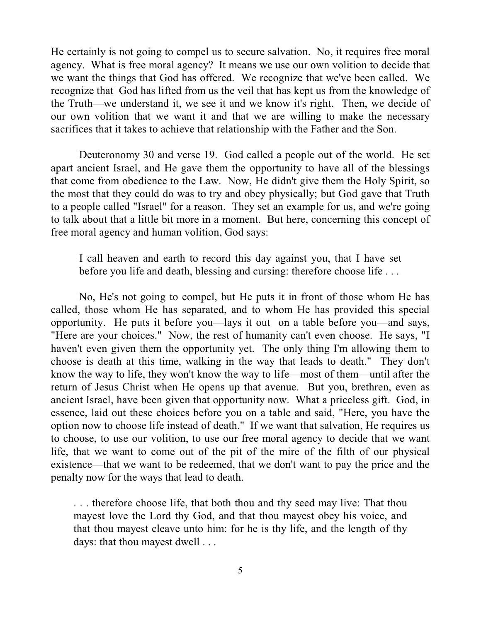He certainly is not going to compel us to secure salvation. No, it requires free moral agency. What is free moral agency? It means we use our own volition to decide that we want the things that God has offered. We recognize that we've been called. We recognize that God has lifted from us the veil that has kept us from the knowledge of the Truth—we understand it, we see it and we know it's right. Then, we decide of our own volition that we want it and that we are willing to make the necessary sacrifices that it takes to achieve that relationship with the Father and the Son.

Deuteronomy 30 and verse 19. God called a people out of the world. He set apart ancient Israel, and He gave them the opportunity to have all of the blessings that come from obedience to the Law. Now, He didn't give them the Holy Spirit, so the most that they could do was to try and obey physically; but God gave that Truth to a people called "Israel" for a reason. They set an example for us, and we're going to talk about that a little bit more in a moment. But here, concerning this concept of free moral agency and human volition, God says:

I call heaven and earth to record this day against you, that I have set before you life and death, blessing and cursing: therefore choose life . . .

No, He's not going to compel, but He puts it in front of those whom He has called, those whom He has separated, and to whom He has provided this special opportunity. He puts it before you—lays it out on a table before you—and says, "Here are your choices." Now, the rest of humanity can't even choose. He says, "I haven't even given them the opportunity yet. The only thing I'm allowing them to choose is death at this time, walking in the way that leads to death." They don't know the way to life, they won't know the way to life—most of them—until after the return of Jesus Christ when He opens up that avenue. But you, brethren, even as ancient Israel, have been given that opportunity now. What a priceless gift. God, in essence, laid out these choices before you on a table and said, "Here, you have the option now to choose life instead of death." If we want that salvation, He requires us to choose, to use our volition, to use our free moral agency to decide that we want life, that we want to come out of the pit of the mire of the filth of our physical existence—that we want to be redeemed, that we don't want to pay the price and the penalty now for the ways that lead to death.

. . . therefore choose life, that both thou and thy seed may live: That thou mayest love the Lord thy God, and that thou mayest obey his voice, and that thou mayest cleave unto him: for he is thy life, and the length of thy days: that thou mayest dwell . . .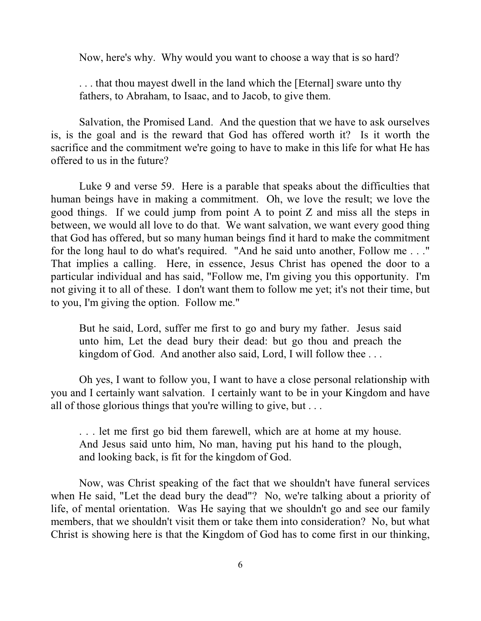Now, here's why. Why would you want to choose a way that is so hard?

. . . that thou mayest dwell in the land which the [Eternal] sware unto thy fathers, to Abraham, to Isaac, and to Jacob, to give them.

Salvation, the Promised Land. And the question that we have to ask ourselves is, is the goal and is the reward that God has offered worth it? Is it worth the sacrifice and the commitment we're going to have to make in this life for what He has offered to us in the future?

Luke 9 and verse 59. Here is a parable that speaks about the difficulties that human beings have in making a commitment. Oh, we love the result; we love the good things. If we could jump from point A to point Z and miss all the steps in between, we would all love to do that. We want salvation, we want every good thing that God has offered, but so many human beings find it hard to make the commitment for the long haul to do what's required. "And he said unto another, Follow me . . ." That implies a calling. Here, in essence, Jesus Christ has opened the door to a particular individual and has said, "Follow me, I'm giving you this opportunity. I'm not giving it to all of these. I don't want them to follow me yet; it's not their time, but to you, I'm giving the option. Follow me."

But he said, Lord, suffer me first to go and bury my father. Jesus said unto him, Let the dead bury their dead: but go thou and preach the kingdom of God. And another also said, Lord, I will follow thee ...

Oh yes, I want to follow you, I want to have a close personal relationship with you and I certainly want salvation. I certainly want to be in your Kingdom and have all of those glorious things that you're willing to give, but . . .

. . . let me first go bid them farewell, which are at home at my house. And Jesus said unto him, No man, having put his hand to the plough, and looking back, is fit for the kingdom of God.

Now, was Christ speaking of the fact that we shouldn't have funeral services when He said, "Let the dead bury the dead"? No, we're talking about a priority of life, of mental orientation. Was He saying that we shouldn't go and see our family members, that we shouldn't visit them or take them into consideration? No, but what Christ is showing here is that the Kingdom of God has to come first in our thinking,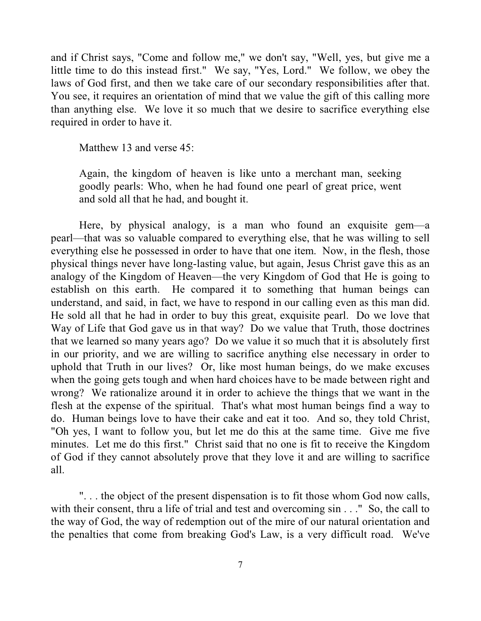and if Christ says, "Come and follow me," we don't say, "Well, yes, but give me a little time to do this instead first." We say, "Yes, Lord." We follow, we obey the laws of God first, and then we take care of our secondary responsibilities after that. You see, it requires an orientation of mind that we value the gift of this calling more than anything else. We love it so much that we desire to sacrifice everything else required in order to have it.

Matthew 13 and verse 45:

Again, the kingdom of heaven is like unto a merchant man, seeking goodly pearls: Who, when he had found one pearl of great price, went and sold all that he had, and bought it.

Here, by physical analogy, is a man who found an exquisite gem—a pearl—that was so valuable compared to everything else, that he was willing to sell everything else he possessed in order to have that one item. Now, in the flesh, those physical things never have long-lasting value, but again, Jesus Christ gave this as an analogy of the Kingdom of Heaven—the very Kingdom of God that He is going to establish on this earth. He compared it to something that human beings can understand, and said, in fact, we have to respond in our calling even as this man did. He sold all that he had in order to buy this great, exquisite pearl. Do we love that Way of Life that God gave us in that way? Do we value that Truth, those doctrines that we learned so many years ago? Do we value it so much that it is absolutely first in our priority, and we are willing to sacrifice anything else necessary in order to uphold that Truth in our lives? Or, like most human beings, do we make excuses when the going gets tough and when hard choices have to be made between right and wrong? We rationalize around it in order to achieve the things that we want in the flesh at the expense of the spiritual. That's what most human beings find a way to do. Human beings love to have their cake and eat it too. And so, they told Christ, "Oh yes, I want to follow you, but let me do this at the same time. Give me five minutes. Let me do this first." Christ said that no one is fit to receive the Kingdom of God if they cannot absolutely prove that they love it and are willing to sacrifice all.

". . . the object of the present dispensation is to fit those whom God now calls, with their consent, thru a life of trial and test and overcoming sin  $\dots$ " So, the call to the way of God, the way of redemption out of the mire of our natural orientation and the penalties that come from breaking God's Law, is a very difficult road. We've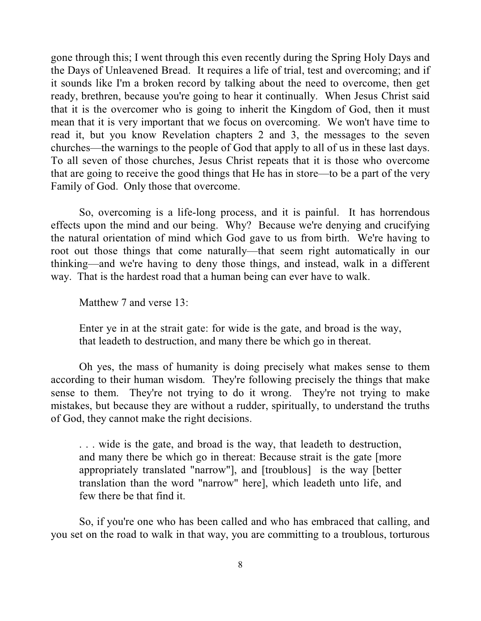gone through this; I went through this even recently during the Spring Holy Days and the Days of Unleavened Bread. It requires a life of trial, test and overcoming; and if it sounds like I'm a broken record by talking about the need to overcome, then get ready, brethren, because you're going to hear it continually. When Jesus Christ said that it is the overcomer who is going to inherit the Kingdom of God, then it must mean that it is very important that we focus on overcoming. We won't have time to read it, but you know Revelation chapters 2 and 3, the messages to the seven churches—the warnings to the people of God that apply to all of us in these last days. To all seven of those churches, Jesus Christ repeats that it is those who overcome that are going to receive the good things that He has in store—to be a part of the very Family of God. Only those that overcome.

So, overcoming is a life-long process, and it is painful. It has horrendous effects upon the mind and our being. Why? Because we're denying and crucifying the natural orientation of mind which God gave to us from birth. We're having to root out those things that come naturally—that seem right automatically in our thinking—and we're having to deny those things, and instead, walk in a different way. That is the hardest road that a human being can ever have to walk.

Matthew 7 and verse 13:

Enter ye in at the strait gate: for wide is the gate, and broad is the way, that leadeth to destruction, and many there be which go in thereat.

Oh yes, the mass of humanity is doing precisely what makes sense to them according to their human wisdom. They're following precisely the things that make sense to them. They're not trying to do it wrong. They're not trying to make mistakes, but because they are without a rudder, spiritually, to understand the truths of God, they cannot make the right decisions.

. . . wide is the gate, and broad is the way, that leadeth to destruction, and many there be which go in thereat: Because strait is the gate [more appropriately translated "narrow"], and [troublous] is the way [better translation than the word "narrow" here], which leadeth unto life, and few there be that find it.

So, if you're one who has been called and who has embraced that calling, and you set on the road to walk in that way, you are committing to a troublous, torturous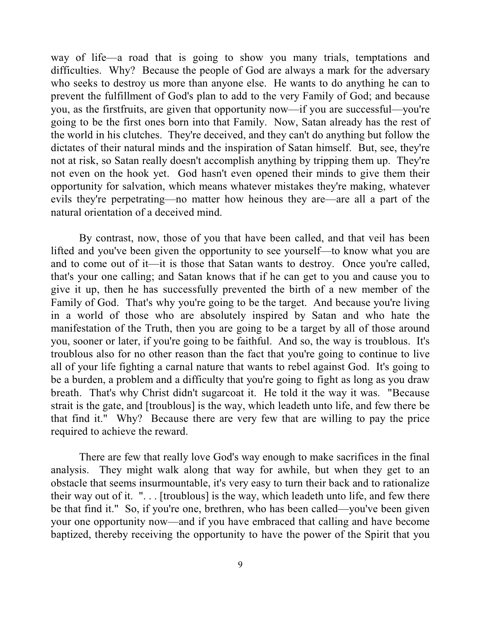way of life—a road that is going to show you many trials, temptations and difficulties. Why? Because the people of God are always a mark for the adversary who seeks to destroy us more than anyone else. He wants to do anything he can to prevent the fulfillment of God's plan to add to the very Family of God; and because you, as the firstfruits, are given that opportunity now—if you are successful—you're going to be the first ones born into that Family. Now, Satan already has the rest of the world in his clutches. They're deceived, and they can't do anything but follow the dictates of their natural minds and the inspiration of Satan himself. But, see, they're not at risk, so Satan really doesn't accomplish anything by tripping them up. They're not even on the hook yet. God hasn't even opened their minds to give them their opportunity for salvation, which means whatever mistakes they're making, whatever evils they're perpetrating—no matter how heinous they are—are all a part of the natural orientation of a deceived mind.

By contrast, now, those of you that have been called, and that veil has been lifted and you've been given the opportunity to see yourself—to know what you are and to come out of it—it is those that Satan wants to destroy. Once you're called, that's your one calling; and Satan knows that if he can get to you and cause you to give it up, then he has successfully prevented the birth of a new member of the Family of God. That's why you're going to be the target. And because you're living in a world of those who are absolutely inspired by Satan and who hate the manifestation of the Truth, then you are going to be a target by all of those around you, sooner or later, if you're going to be faithful. And so, the way is troublous. It's troublous also for no other reason than the fact that you're going to continue to live all of your life fighting a carnal nature that wants to rebel against God. It's going to be a burden, a problem and a difficulty that you're going to fight as long as you draw breath. That's why Christ didn't sugarcoat it. He told it the way it was. "Because strait is the gate, and [troublous] is the way, which leadeth unto life, and few there be that find it." Why? Because there are very few that are willing to pay the price required to achieve the reward.

There are few that really love God's way enough to make sacrifices in the final analysis. They might walk along that way for awhile, but when they get to an obstacle that seems insurmountable, it's very easy to turn their back and to rationalize their way out of it. "... [troublous] is the way, which leadeth unto life, and few there be that find it." So, if you're one, brethren, who has been called—you've been given your one opportunity now—and if you have embraced that calling and have become baptized, thereby receiving the opportunity to have the power of the Spirit that you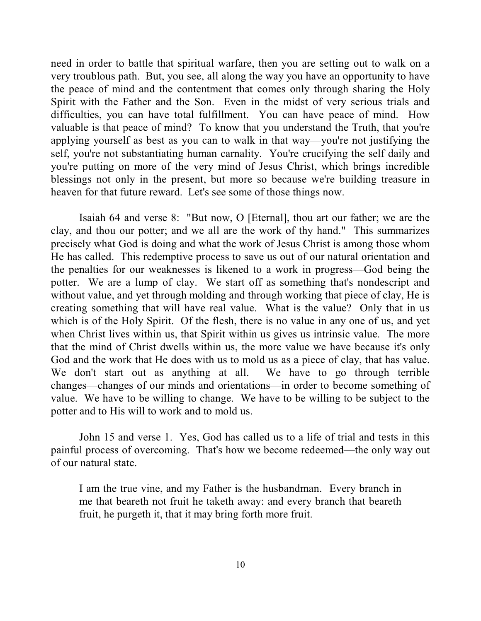need in order to battle that spiritual warfare, then you are setting out to walk on a very troublous path. But, you see, all along the way you have an opportunity to have the peace of mind and the contentment that comes only through sharing the Holy Spirit with the Father and the Son. Even in the midst of very serious trials and difficulties, you can have total fulfillment. You can have peace of mind. How valuable is that peace of mind? To know that you understand the Truth, that you're applying yourself as best as you can to walk in that way—you're not justifying the self, you're not substantiating human carnality. You're crucifying the self daily and you're putting on more of the very mind of Jesus Christ, which brings incredible blessings not only in the present, but more so because we're building treasure in heaven for that future reward. Let's see some of those things now.

Isaiah 64 and verse 8: "But now, O [Eternal], thou art our father; we are the clay, and thou our potter; and we all are the work of thy hand." This summarizes precisely what God is doing and what the work of Jesus Christ is among those whom He has called. This redemptive process to save us out of our natural orientation and the penalties for our weaknesses is likened to a work in progress—God being the potter. We are a lump of clay. We start off as something that's nondescript and without value, and yet through molding and through working that piece of clay, He is creating something that will have real value. What is the value? Only that in us which is of the Holy Spirit. Of the flesh, there is no value in any one of us, and yet when Christ lives within us, that Spirit within us gives us intrinsic value. The more that the mind of Christ dwells within us, the more value we have because it's only God and the work that He does with us to mold us as a piece of clay, that has value. We don't start out as anything at all. We have to go through terrible changes—changes of our minds and orientations—in order to become something of value. We have to be willing to change. We have to be willing to be subject to the potter and to His will to work and to mold us.

John 15 and verse 1. Yes, God has called us to a life of trial and tests in this painful process of overcoming. That's how we become redeemed—the only way out of our natural state.

I am the true vine, and my Father is the husbandman. Every branch in me that beareth not fruit he taketh away: and every branch that beareth fruit, he purgeth it, that it may bring forth more fruit.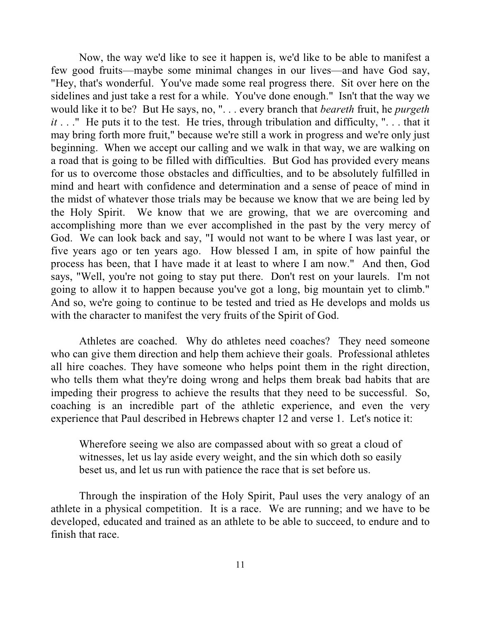Now, the way we'd like to see it happen is, we'd like to be able to manifest a few good fruits—maybe some minimal changes in our lives—and have God say, "Hey, that's wonderful. You've made some real progress there. Sit over here on the sidelines and just take a rest for a while. You've done enough." Isn't that the way we would like it to be? But He says, no, ". . . every branch that *beareth* fruit, he *purgeth it* . . ." He puts it to the test. He tries, through tribulation and difficulty, ". . . that it may bring forth more fruit," because we're still a work in progress and we're only just beginning. When we accept our calling and we walk in that way, we are walking on a road that is going to be filled with difficulties. But God has provided every means for us to overcome those obstacles and difficulties, and to be absolutely fulfilled in mind and heart with confidence and determination and a sense of peace of mind in the midst of whatever those trials may be because we know that we are being led by the Holy Spirit. We know that we are growing, that we are overcoming and accomplishing more than we ever accomplished in the past by the very mercy of God. We can look back and say, "I would not want to be where I was last year, or five years ago or ten years ago. How blessed I am, in spite of how painful the process has been, that I have made it at least to where I am now." And then, God says, "Well, you're not going to stay put there. Don't rest on your laurels. I'm not going to allow it to happen because you've got a long, big mountain yet to climb." And so, we're going to continue to be tested and tried as He develops and molds us with the character to manifest the very fruits of the Spirit of God.

Athletes are coached. Why do athletes need coaches? They need someone who can give them direction and help them achieve their goals. Professional athletes all hire coaches. They have someone who helps point them in the right direction, who tells them what they're doing wrong and helps them break bad habits that are impeding their progress to achieve the results that they need to be successful. So, coaching is an incredible part of the athletic experience, and even the very experience that Paul described in Hebrews chapter 12 and verse 1. Let's notice it:

Wherefore seeing we also are compassed about with so great a cloud of witnesses, let us lay aside every weight, and the sin which doth so easily beset us, and let us run with patience the race that is set before us.

Through the inspiration of the Holy Spirit, Paul uses the very analogy of an athlete in a physical competition. It is a race. We are running; and we have to be developed, educated and trained as an athlete to be able to succeed, to endure and to finish that race.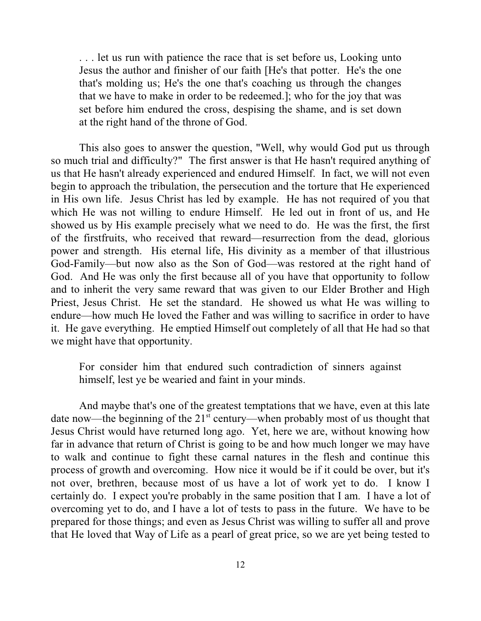. . . let us run with patience the race that is set before us, Looking unto Jesus the author and finisher of our faith [He's that potter. He's the one that's molding us; He's the one that's coaching us through the changes that we have to make in order to be redeemed.]; who for the joy that was set before him endured the cross, despising the shame, and is set down at the right hand of the throne of God.

This also goes to answer the question, "Well, why would God put us through so much trial and difficulty?" The first answer is that He hasn't required anything of us that He hasn't already experienced and endured Himself. In fact, we will not even begin to approach the tribulation, the persecution and the torture that He experienced in His own life. Jesus Christ has led by example. He has not required of you that which He was not willing to endure Himself. He led out in front of us, and He showed us by His example precisely what we need to do. He was the first, the first of the firstfruits, who received that reward—resurrection from the dead, glorious power and strength. His eternal life, His divinity as a member of that illustrious God-Family—but now also as the Son of God—was restored at the right hand of God. And He was only the first because all of you have that opportunity to follow and to inherit the very same reward that was given to our Elder Brother and High Priest, Jesus Christ. He set the standard. He showed us what He was willing to endure—how much He loved the Father and was willing to sacrifice in order to have it. He gave everything. He emptied Himself out completely of all that He had so that we might have that opportunity.

For consider him that endured such contradiction of sinners against himself, lest ye be wearied and faint in your minds.

And maybe that's one of the greatest temptations that we have, even at this late date now—the beginning of the  $21<sup>st</sup>$  century—when probably most of us thought that Jesus Christ would have returned long ago. Yet, here we are, without knowing how far in advance that return of Christ is going to be and how much longer we may have to walk and continue to fight these carnal natures in the flesh and continue this process of growth and overcoming. How nice it would be if it could be over, but it's not over, brethren, because most of us have a lot of work yet to do. I know I certainly do. I expect you're probably in the same position that I am. I have a lot of overcoming yet to do, and I have a lot of tests to pass in the future. We have to be prepared for those things; and even as Jesus Christ was willing to suffer all and prove that He loved that Way of Life as a pearl of great price, so we are yet being tested to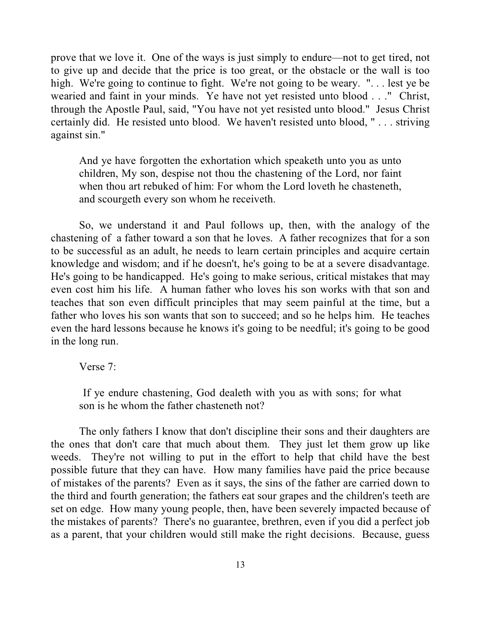prove that we love it. One of the ways is just simply to endure—not to get tired, not to give up and decide that the price is too great, or the obstacle or the wall is too high. We're going to continue to fight. We're not going to be weary. "... lest ye be wearied and faint in your minds. Ye have not yet resisted unto blood . . ." Christ, through the Apostle Paul, said, "You have not yet resisted unto blood." Jesus Christ certainly did. He resisted unto blood. We haven't resisted unto blood, " . . . striving against sin."

And ye have forgotten the exhortation which speaketh unto you as unto children, My son, despise not thou the chastening of the Lord, nor faint when thou art rebuked of him: For whom the Lord loveth he chasteneth, and scourgeth every son whom he receiveth.

So, we understand it and Paul follows up, then, with the analogy of the chastening of a father toward a son that he loves. A father recognizes that for a son to be successful as an adult, he needs to learn certain principles and acquire certain knowledge and wisdom; and if he doesn't, he's going to be at a severe disadvantage. He's going to be handicapped. He's going to make serious, critical mistakes that may even cost him his life. A human father who loves his son works with that son and teaches that son even difficult principles that may seem painful at the time, but a father who loves his son wants that son to succeed; and so he helps him. He teaches even the hard lessons because he knows it's going to be needful; it's going to be good in the long run.

Verse 7:

If ye endure chastening, God dealeth with you as with sons; for what son is he whom the father chasteneth not?

The only fathers I know that don't discipline their sons and their daughters are the ones that don't care that much about them. They just let them grow up like weeds. They're not willing to put in the effort to help that child have the best possible future that they can have. How many families have paid the price because of mistakes of the parents? Even as it says, the sins of the father are carried down to the third and fourth generation; the fathers eat sour grapes and the children's teeth are set on edge. How many young people, then, have been severely impacted because of the mistakes of parents? There's no guarantee, brethren, even if you did a perfect job as a parent, that your children would still make the right decisions. Because, guess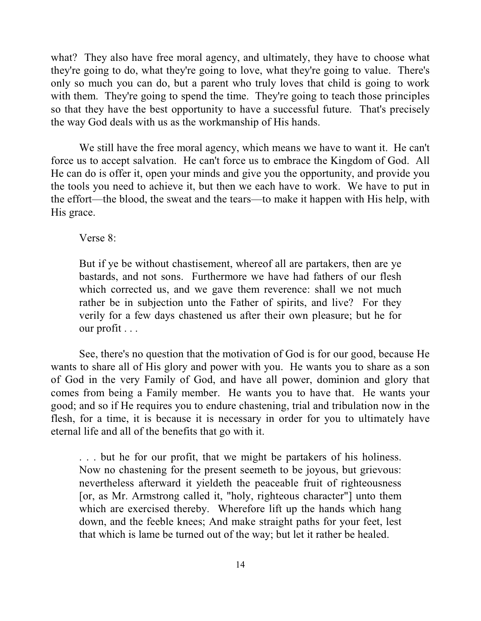what? They also have free moral agency, and ultimately, they have to choose what they're going to do, what they're going to love, what they're going to value. There's only so much you can do, but a parent who truly loves that child is going to work with them. They're going to spend the time. They're going to teach those principles so that they have the best opportunity to have a successful future. That's precisely the way God deals with us as the workmanship of His hands.

We still have the free moral agency, which means we have to want it. He can't force us to accept salvation. He can't force us to embrace the Kingdom of God. All He can do is offer it, open your minds and give you the opportunity, and provide you the tools you need to achieve it, but then we each have to work. We have to put in the effort—the blood, the sweat and the tears—to make it happen with His help, with His grace.

Verse 8:

But if ye be without chastisement, whereof all are partakers, then are ye bastards, and not sons. Furthermore we have had fathers of our flesh which corrected us, and we gave them reverence: shall we not much rather be in subjection unto the Father of spirits, and live? For they verily for a few days chastened us after their own pleasure; but he for our profit . . .

See, there's no question that the motivation of God is for our good, because He wants to share all of His glory and power with you. He wants you to share as a son of God in the very Family of God, and have all power, dominion and glory that comes from being a Family member. He wants you to have that. He wants your good; and so if He requires you to endure chastening, trial and tribulation now in the flesh, for a time, it is because it is necessary in order for you to ultimately have eternal life and all of the benefits that go with it.

. . . but he for our profit, that we might be partakers of his holiness. Now no chastening for the present seemeth to be joyous, but grievous: nevertheless afterward it yieldeth the peaceable fruit of righteousness [or, as Mr. Armstrong called it, "holy, righteous character"] unto them which are exercised thereby. Wherefore lift up the hands which hang down, and the feeble knees; And make straight paths for your feet, lest that which is lame be turned out of the way; but let it rather be healed.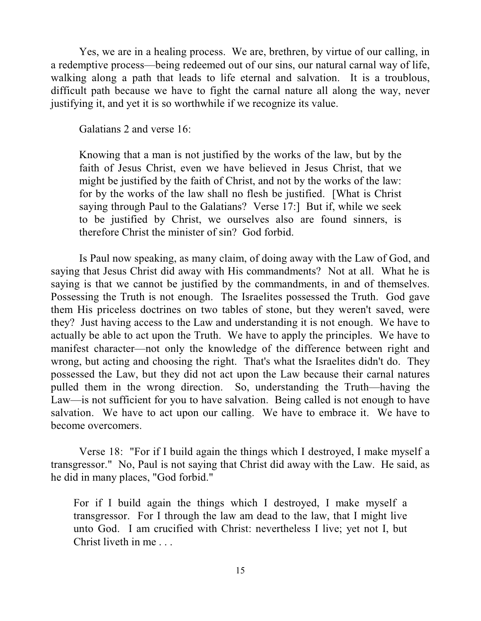Yes, we are in a healing process. We are, brethren, by virtue of our calling, in a redemptive process—being redeemed out of our sins, our natural carnal way of life, walking along a path that leads to life eternal and salvation. It is a troublous, difficult path because we have to fight the carnal nature all along the way, never justifying it, and yet it is so worthwhile if we recognize its value.

Galatians 2 and verse 16:

Knowing that a man is not justified by the works of the law, but by the faith of Jesus Christ, even we have believed in Jesus Christ, that we might be justified by the faith of Christ, and not by the works of the law: for by the works of the law shall no flesh be justified. [What is Christ saying through Paul to the Galatians? Verse 17:] But if, while we seek to be justified by Christ, we ourselves also are found sinners, is therefore Christ the minister of sin? God forbid.

Is Paul now speaking, as many claim, of doing away with the Law of God, and saying that Jesus Christ did away with His commandments? Not at all. What he is saying is that we cannot be justified by the commandments, in and of themselves. Possessing the Truth is not enough. The Israelites possessed the Truth. God gave them His priceless doctrines on two tables of stone, but they weren't saved, were they? Just having access to the Law and understanding it is not enough. We have to actually be able to act upon the Truth. We have to apply the principles. We have to manifest character—not only the knowledge of the difference between right and wrong, but acting and choosing the right. That's what the Israelites didn't do. They possessed the Law, but they did not act upon the Law because their carnal natures pulled them in the wrong direction. So, understanding the Truth—having the Law—is not sufficient for you to have salvation. Being called is not enough to have salvation. We have to act upon our calling. We have to embrace it. We have to become overcomers.

Verse 18: "For if I build again the things which I destroyed, I make myself a transgressor." No, Paul is not saying that Christ did away with the Law. He said, as he did in many places, "God forbid."

For if I build again the things which I destroyed, I make myself a transgressor. For I through the law am dead to the law, that I might live unto God. I am crucified with Christ: nevertheless I live; yet not I, but Christ liveth in me . . .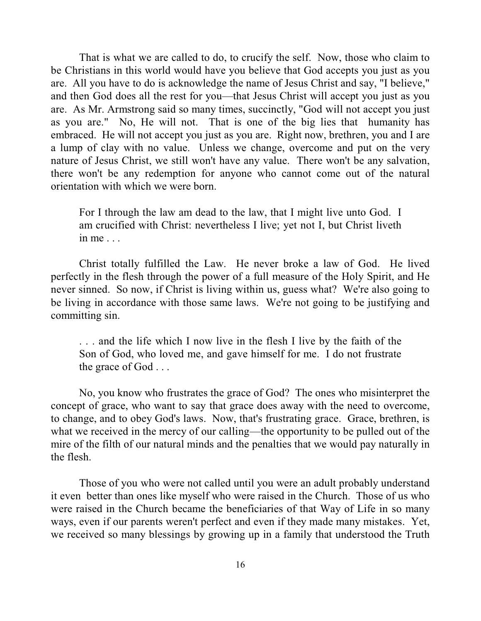That is what we are called to do, to crucify the self. Now, those who claim to be Christians in this world would have you believe that God accepts you just as you are. All you have to do is acknowledge the name of Jesus Christ and say, "I believe," and then God does all the rest for you—that Jesus Christ will accept you just as you are. As Mr. Armstrong said so many times, succinctly, "God will not accept you just as you are." No, He will not. That is one of the big lies that humanity has embraced. He will not accept you just as you are. Right now, brethren, you and I are a lump of clay with no value. Unless we change, overcome and put on the very nature of Jesus Christ, we still won't have any value. There won't be any salvation, there won't be any redemption for anyone who cannot come out of the natural orientation with which we were born.

For I through the law am dead to the law, that I might live unto God. I am crucified with Christ: nevertheless I live; yet not I, but Christ liveth in me . . .

Christ totally fulfilled the Law. He never broke a law of God. He lived perfectly in the flesh through the power of a full measure of the Holy Spirit, and He never sinned. So now, if Christ is living within us, guess what? We're also going to be living in accordance with those same laws. We're not going to be justifying and committing sin.

. . . and the life which I now live in the flesh I live by the faith of the Son of God, who loved me, and gave himself for me. I do not frustrate the grace of God . . .

No, you know who frustrates the grace of God? The ones who misinterpret the concept of grace, who want to say that grace does away with the need to overcome, to change, and to obey God's laws. Now, that's frustrating grace. Grace, brethren, is what we received in the mercy of our calling—the opportunity to be pulled out of the mire of the filth of our natural minds and the penalties that we would pay naturally in the flesh.

Those of you who were not called until you were an adult probably understand it even better than ones like myself who were raised in the Church. Those of us who were raised in the Church became the beneficiaries of that Way of Life in so many ways, even if our parents weren't perfect and even if they made many mistakes. Yet, we received so many blessings by growing up in a family that understood the Truth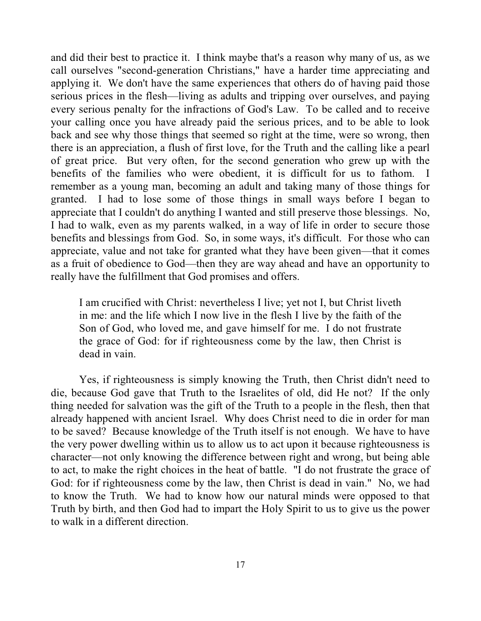and did their best to practice it. I think maybe that's a reason why many of us, as we call ourselves "second-generation Christians," have a harder time appreciating and applying it. We don't have the same experiences that others do of having paid those serious prices in the flesh—living as adults and tripping over ourselves, and paying every serious penalty for the infractions of God's Law. To be called and to receive your calling once you have already paid the serious prices, and to be able to look back and see why those things that seemed so right at the time, were so wrong, then there is an appreciation, a flush of first love, for the Truth and the calling like a pearl of great price. But very often, for the second generation who grew up with the benefits of the families who were obedient, it is difficult for us to fathom. I remember as a young man, becoming an adult and taking many of those things for granted. I had to lose some of those things in small ways before I began to appreciate that I couldn't do anything I wanted and still preserve those blessings. No, I had to walk, even as my parents walked, in a way of life in order to secure those benefits and blessings from God. So, in some ways, it's difficult. For those who can appreciate, value and not take for granted what they have been given—that it comes as a fruit of obedience to God—then they are way ahead and have an opportunity to really have the fulfillment that God promises and offers.

I am crucified with Christ: nevertheless I live; yet not I, but Christ liveth in me: and the life which I now live in the flesh I live by the faith of the Son of God, who loved me, and gave himself for me. I do not frustrate the grace of God: for if righteousness come by the law, then Christ is dead in vain.

Yes, if righteousness is simply knowing the Truth, then Christ didn't need to die, because God gave that Truth to the Israelites of old, did He not? If the only thing needed for salvation was the gift of the Truth to a people in the flesh, then that already happened with ancient Israel. Why does Christ need to die in order for man to be saved? Because knowledge of the Truth itself is not enough. We have to have the very power dwelling within us to allow us to act upon it because righteousness is character—not only knowing the difference between right and wrong, but being able to act, to make the right choices in the heat of battle. "I do not frustrate the grace of God: for if righteousness come by the law, then Christ is dead in vain." No, we had to know the Truth. We had to know how our natural minds were opposed to that Truth by birth, and then God had to impart the Holy Spirit to us to give us the power to walk in a different direction.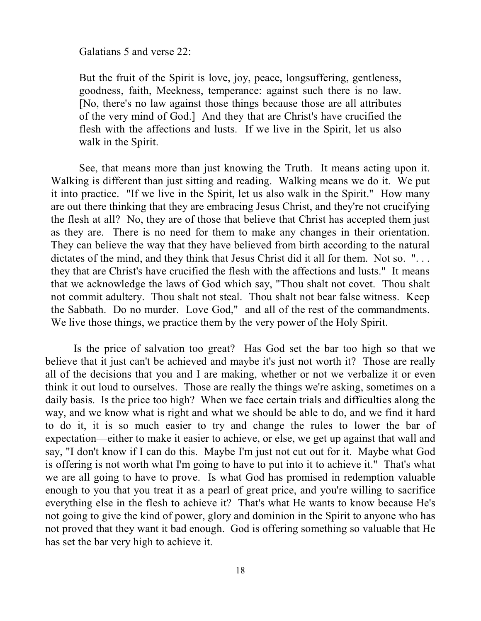Galatians 5 and verse 22:

But the fruit of the Spirit is love, joy, peace, longsuffering, gentleness, goodness, faith, Meekness, temperance: against such there is no law. [No, there's no law against those things because those are all attributes of the very mind of God.] And they that are Christ's have crucified the flesh with the affections and lusts. If we live in the Spirit, let us also walk in the Spirit.

See, that means more than just knowing the Truth. It means acting upon it. Walking is different than just sitting and reading. Walking means we do it. We put it into practice. "If we live in the Spirit, let us also walk in the Spirit." How many are out there thinking that they are embracing Jesus Christ, and they're not crucifying the flesh at all? No, they are of those that believe that Christ has accepted them just as they are. There is no need for them to make any changes in their orientation. They can believe the way that they have believed from birth according to the natural dictates of the mind, and they think that Jesus Christ did it all for them. Not so. "... they that are Christ's have crucified the flesh with the affections and lusts." It means that we acknowledge the laws of God which say, "Thou shalt not covet. Thou shalt not commit adultery. Thou shalt not steal. Thou shalt not bear false witness. Keep the Sabbath. Do no murder. Love God," and all of the rest of the commandments. We live those things, we practice them by the very power of the Holy Spirit.

Is the price of salvation too great? Has God set the bar too high so that we believe that it just can't be achieved and maybe it's just not worth it? Those are really all of the decisions that you and I are making, whether or not we verbalize it or even think it out loud to ourselves. Those are really the things we're asking, sometimes on a daily basis. Is the price too high? When we face certain trials and difficulties along the way, and we know what is right and what we should be able to do, and we find it hard to do it, it is so much easier to try and change the rules to lower the bar of expectation—either to make it easier to achieve, or else, we get up against that wall and say, "I don't know if I can do this. Maybe I'm just not cut out for it. Maybe what God is offering is not worth what I'm going to have to put into it to achieve it." That's what we are all going to have to prove. Is what God has promised in redemption valuable enough to you that you treat it as a pearl of great price, and you're willing to sacrifice everything else in the flesh to achieve it? That's what He wants to know because He's not going to give the kind of power, glory and dominion in the Spirit to anyone who has not proved that they want it bad enough. God is offering something so valuable that He has set the bar very high to achieve it.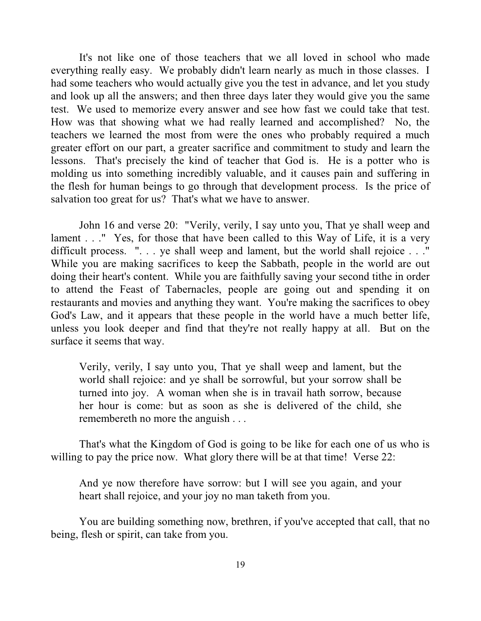It's not like one of those teachers that we all loved in school who made everything really easy. We probably didn't learn nearly as much in those classes. I had some teachers who would actually give you the test in advance, and let you study and look up all the answers; and then three days later they would give you the same test. We used to memorize every answer and see how fast we could take that test. How was that showing what we had really learned and accomplished? No, the teachers we learned the most from were the ones who probably required a much greater effort on our part, a greater sacrifice and commitment to study and learn the lessons. That's precisely the kind of teacher that God is. He is a potter who is molding us into something incredibly valuable, and it causes pain and suffering in the flesh for human beings to go through that development process. Is the price of salvation too great for us? That's what we have to answer.

John 16 and verse 20: "Verily, verily, I say unto you, That ye shall weep and lament . . . " Yes, for those that have been called to this Way of Life, it is a very difficult process. ". . . ye shall weep and lament, but the world shall rejoice . . ." While you are making sacrifices to keep the Sabbath, people in the world are out doing their heart's content. While you are faithfully saving your second tithe in order to attend the Feast of Tabernacles, people are going out and spending it on restaurants and movies and anything they want. You're making the sacrifices to obey God's Law, and it appears that these people in the world have a much better life, unless you look deeper and find that they're not really happy at all. But on the surface it seems that way.

Verily, verily, I say unto you, That ye shall weep and lament, but the world shall rejoice: and ye shall be sorrowful, but your sorrow shall be turned into joy. A woman when she is in travail hath sorrow, because her hour is come: but as soon as she is delivered of the child, she remembereth no more the anguish . . .

That's what the Kingdom of God is going to be like for each one of us who is willing to pay the price now. What glory there will be at that time! Verse 22:

And ye now therefore have sorrow: but I will see you again, and your heart shall rejoice, and your joy no man taketh from you.

You are building something now, brethren, if you've accepted that call, that no being, flesh or spirit, can take from you.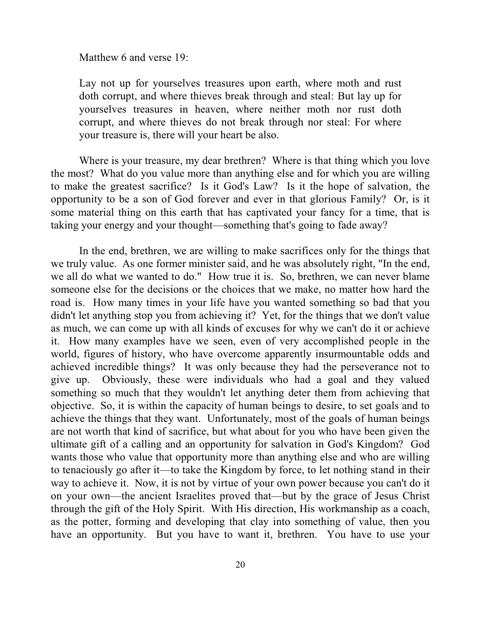Matthew 6 and verse 19:

Lay not up for yourselves treasures upon earth, where moth and rust doth corrupt, and where thieves break through and steal: But lay up for yourselves treasures in heaven, where neither moth nor rust doth corrupt, and where thieves do not break through nor steal: For where your treasure is, there will your heart be also.

Where is your treasure, my dear brethren? Where is that thing which you love the most? What do you value more than anything else and for which you are willing to make the greatest sacrifice? Is it God's Law? Is it the hope of salvation, the opportunity to be a son of God forever and ever in that glorious Family? Or, is it some material thing on this earth that has captivated your fancy for a time, that is taking your energy and your thought—something that's going to fade away?

In the end, brethren, we are willing to make sacrifices only for the things that we truly value. As one former minister said, and he was absolutely right, "In the end, we all do what we wanted to do." How true it is. So, brethren, we can never blame someone else for the decisions or the choices that we make, no matter how hard the road is. How many times in your life have you wanted something so bad that you didn't let anything stop you from achieving it? Yet, for the things that we don't value as much, we can come up with all kinds of excuses for why we can't do it or achieve it. How many examples have we seen, even of very accomplished people in the world, figures of history, who have overcome apparently insurmountable odds and achieved incredible things? It was only because they had the perseverance not to give up. Obviously, these were individuals who had a goal and they valued something so much that they wouldn't let anything deter them from achieving that objective. So, it is within the capacity of human beings to desire, to set goals and to achieve the things that they want. Unfortunately, most of the goals of human beings are not worth that kind of sacrifice, but what about for you who have been given the ultimate gift of a calling and an opportunity for salvation in God's Kingdom? God wants those who value that opportunity more than anything else and who are willing to tenaciously go after it—to take the Kingdom by force, to let nothing stand in their way to achieve it. Now, it is not by virtue of your own power because you can't do it on your own—the ancient Israelites proved that—but by the grace of Jesus Christ through the gift of the Holy Spirit. With His direction, His workmanship as a coach, as the potter, forming and developing that clay into something of value, then you have an opportunity. But you have to want it, brethren. You have to use your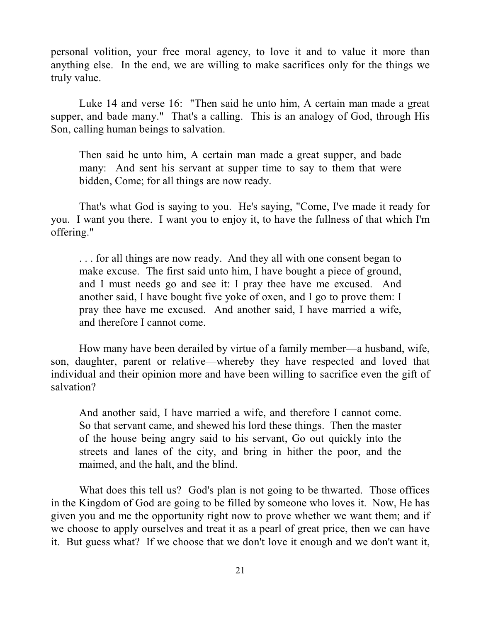personal volition, your free moral agency, to love it and to value it more than anything else. In the end, we are willing to make sacrifices only for the things we truly value.

Luke 14 and verse 16: "Then said he unto him, A certain man made a great supper, and bade many." That's a calling. This is an analogy of God, through His Son, calling human beings to salvation.

Then said he unto him, A certain man made a great supper, and bade many: And sent his servant at supper time to say to them that were bidden, Come; for all things are now ready.

That's what God is saying to you. He's saying, "Come, I've made it ready for you. I want you there. I want you to enjoy it, to have the fullness of that which I'm offering."

. . . for all things are now ready. And they all with one consent began to make excuse. The first said unto him, I have bought a piece of ground, and I must needs go and see it: I pray thee have me excused. And another said, I have bought five yoke of oxen, and I go to prove them: I pray thee have me excused. And another said, I have married a wife, and therefore I cannot come.

How many have been derailed by virtue of a family member—a husband, wife, son, daughter, parent or relative—whereby they have respected and loved that individual and their opinion more and have been willing to sacrifice even the gift of salvation?

And another said, I have married a wife, and therefore I cannot come. So that servant came, and shewed his lord these things. Then the master of the house being angry said to his servant, Go out quickly into the streets and lanes of the city, and bring in hither the poor, and the maimed, and the halt, and the blind.

What does this tell us? God's plan is not going to be thwarted. Those offices in the Kingdom of God are going to be filled by someone who loves it. Now, He has given you and me the opportunity right now to prove whether we want them; and if we choose to apply ourselves and treat it as a pearl of great price, then we can have it. But guess what? If we choose that we don't love it enough and we don't want it,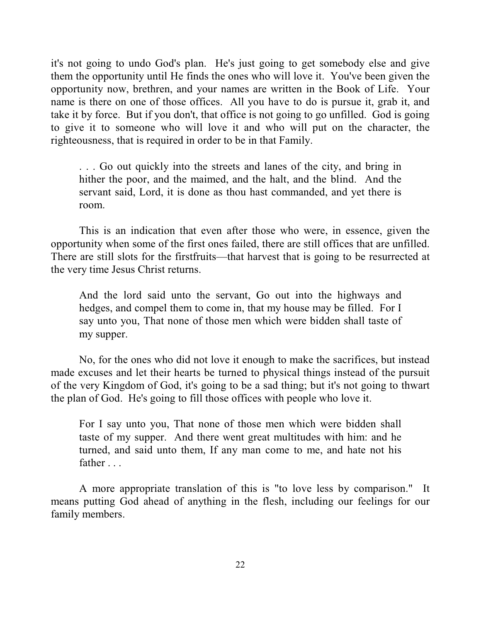it's not going to undo God's plan. He's just going to get somebody else and give them the opportunity until He finds the ones who will love it. You've been given the opportunity now, brethren, and your names are written in the Book of Life. Your name is there on one of those offices. All you have to do is pursue it, grab it, and take it by force. But if you don't, that office is not going to go unfilled. God is going to give it to someone who will love it and who will put on the character, the righteousness, that is required in order to be in that Family.

. . . Go out quickly into the streets and lanes of the city, and bring in hither the poor, and the maimed, and the halt, and the blind. And the servant said, Lord, it is done as thou hast commanded, and yet there is room.

This is an indication that even after those who were, in essence, given the opportunity when some of the first ones failed, there are still offices that are unfilled. There are still slots for the firstfruits—that harvest that is going to be resurrected at the very time Jesus Christ returns.

And the lord said unto the servant, Go out into the highways and hedges, and compel them to come in, that my house may be filled. For I say unto you, That none of those men which were bidden shall taste of my supper.

No, for the ones who did not love it enough to make the sacrifices, but instead made excuses and let their hearts be turned to physical things instead of the pursuit of the very Kingdom of God, it's going to be a sad thing; but it's not going to thwart the plan of God. He's going to fill those offices with people who love it.

For I say unto you, That none of those men which were bidden shall taste of my supper. And there went great multitudes with him: and he turned, and said unto them, If any man come to me, and hate not his father . . .

A more appropriate translation of this is "to love less by comparison." It means putting God ahead of anything in the flesh, including our feelings for our family members.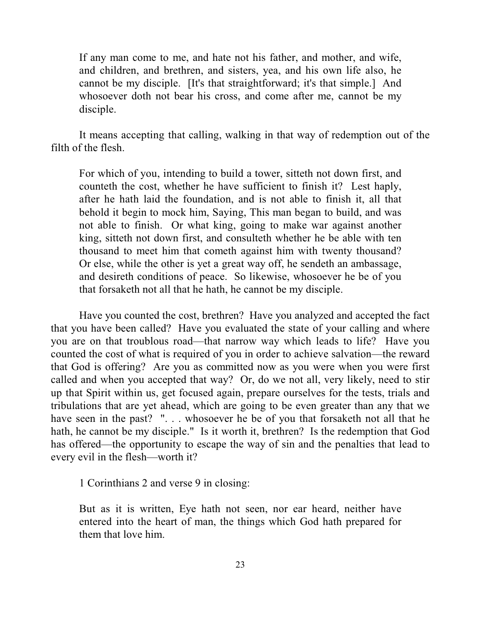If any man come to me, and hate not his father, and mother, and wife, and children, and brethren, and sisters, yea, and his own life also, he cannot be my disciple. [It's that straightforward; it's that simple.] And whosoever doth not bear his cross, and come after me, cannot be my disciple.

It means accepting that calling, walking in that way of redemption out of the filth of the flesh.

For which of you, intending to build a tower, sitteth not down first, and counteth the cost, whether he have sufficient to finish it? Lest haply, after he hath laid the foundation, and is not able to finish it, all that behold it begin to mock him, Saying, This man began to build, and was not able to finish. Or what king, going to make war against another king, sitteth not down first, and consulteth whether he be able with ten thousand to meet him that cometh against him with twenty thousand? Or else, while the other is yet a great way off, he sendeth an ambassage, and desireth conditions of peace. So likewise, whosoever he be of you that forsaketh not all that he hath, he cannot be my disciple.

Have you counted the cost, brethren? Have you analyzed and accepted the fact that you have been called? Have you evaluated the state of your calling and where you are on that troublous road—that narrow way which leads to life? Have you counted the cost of what is required of you in order to achieve salvation—the reward that God is offering? Are you as committed now as you were when you were first called and when you accepted that way? Or, do we not all, very likely, need to stir up that Spirit within us, get focused again, prepare ourselves for the tests, trials and tribulations that are yet ahead, which are going to be even greater than any that we have seen in the past? "... whosoever he be of you that forsaketh not all that he hath, he cannot be my disciple." Is it worth it, brethren? Is the redemption that God has offered—the opportunity to escape the way of sin and the penalties that lead to every evil in the flesh—worth it?

1 Corinthians 2 and verse 9 in closing:

But as it is written, Eye hath not seen, nor ear heard, neither have entered into the heart of man, the things which God hath prepared for them that love him.